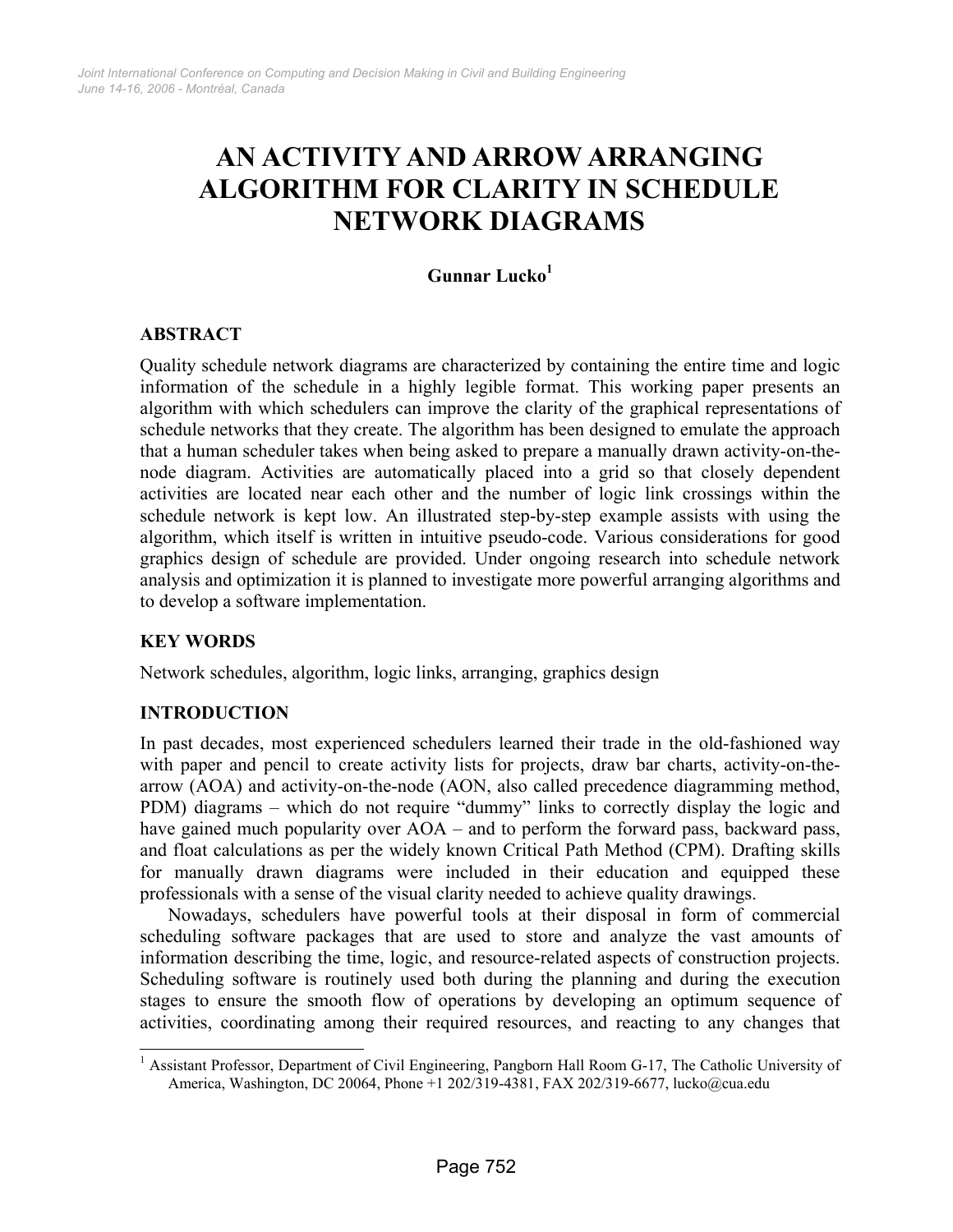# **AN ACTIVITY AND ARROW ARRANGING ALGORITHM FOR CLARITY IN SCHEDULE NETWORK DIAGRAMS**

## **Gunnar Luck[o1](#page-0-0)**

## **ABSTRACT**

Quality schedule network diagrams are characterized by containing the entire time and logic information of the schedule in a highly legible format. This working paper presents an algorithm with which schedulers can improve the clarity of the graphical representations of schedule networks that they create. The algorithm has been designed to emulate the approach that a human scheduler takes when being asked to prepare a manually drawn activity-on-thenode diagram. Activities are automatically placed into a grid so that closely dependent activities are located near each other and the number of logic link crossings within the schedule network is kept low. An illustrated step-by-step example assists with using the algorithm, which itself is written in intuitive pseudo-code. Various considerations for good graphics design of schedule are provided. Under ongoing research into schedule network analysis and optimization it is planned to investigate more powerful arranging algorithms and to develop a software implementation.

## **KEY WORDS**

 $\overline{\phantom{a}}$ 

Network schedules, algorithm, logic links, arranging, graphics design

## **INTRODUCTION**

In past decades, most experienced schedulers learned their trade in the old-fashioned way with paper and pencil to create activity lists for projects, draw bar charts, activity-on-thearrow (AOA) and activity-on-the-node (AON, also called precedence diagramming method, PDM) diagrams – which do not require "dummy" links to correctly display the logic and have gained much popularity over AOA – and to perform the forward pass, backward pass, and float calculations as per the widely known Critical Path Method (CPM). Drafting skills for manually drawn diagrams were included in their education and equipped these professionals with a sense of the visual clarity needed to achieve quality drawings.

Nowadays, schedulers have powerful tools at their disposal in form of commercial scheduling software packages that are used to store and analyze the vast amounts of information describing the time, logic, and resource-related aspects of construction projects. Scheduling software is routinely used both during the planning and during the execution stages to ensure the smooth flow of operations by developing an optimum sequence of activities, coordinating among their required resources, and reacting to any changes that

<span id="page-0-0"></span><sup>&</sup>lt;sup>1</sup> Assistant Professor, Department of Civil Engineering, Pangborn Hall Room G-17, The Catholic University of America, Washington, DC 20064, Phone +1 202/319-4381, FAX 202/319-6677, lucko@cua.edu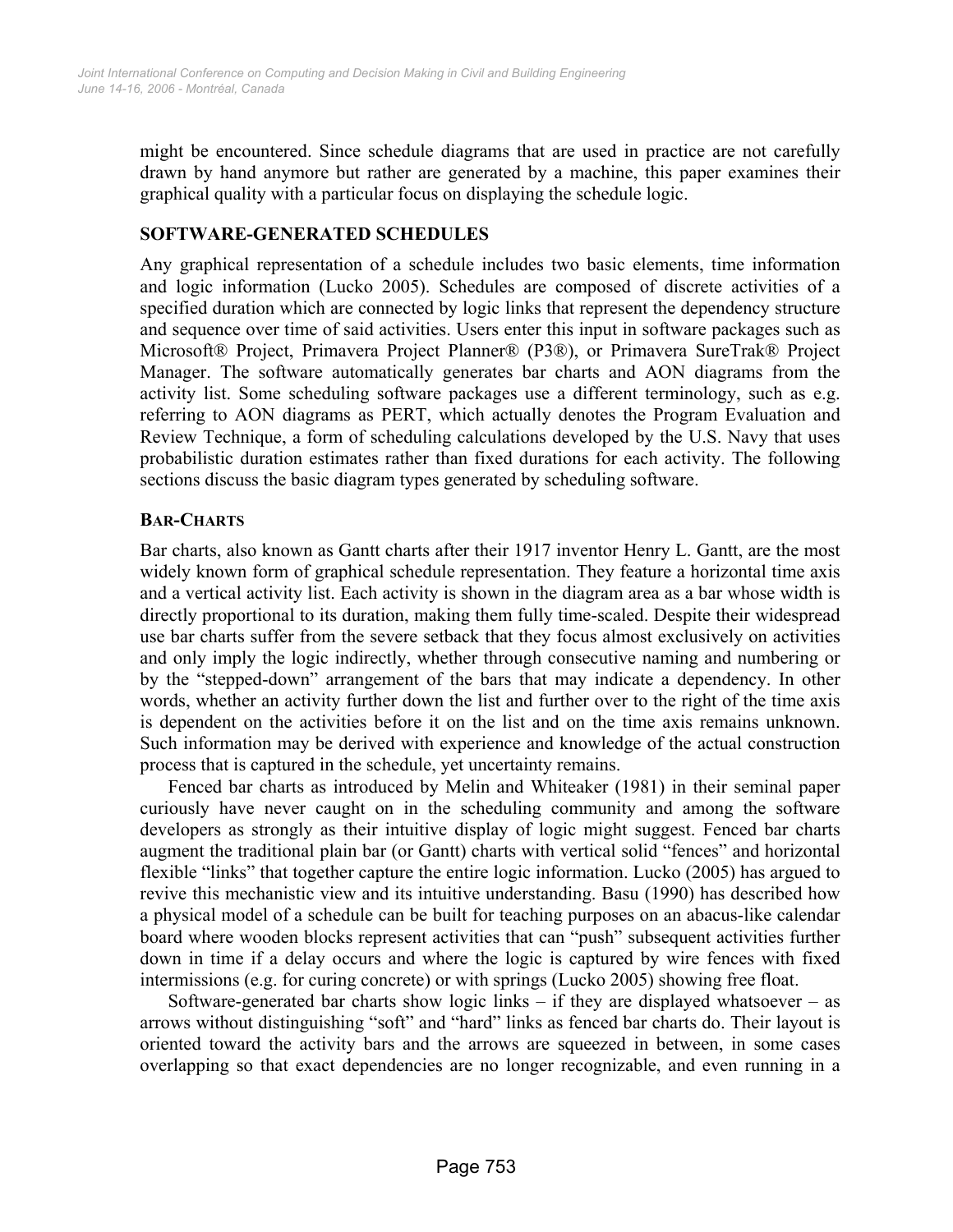might be encountered. Since schedule diagrams that are used in practice are not carefully drawn by hand anymore but rather are generated by a machine, this paper examines their graphical quality with a particular focus on displaying the schedule logic.

## **SOFTWARE-GENERATED SCHEDULES**

Any graphical representation of a schedule includes two basic elements, time information and logic information (Lucko 2005). Schedules are composed of discrete activities of a specified duration which are connected by logic links that represent the dependency structure and sequence over time of said activities. Users enter this input in software packages such as Microsoft® Project, Primavera Project Planner® (P3®), or Primavera SureTrak® Project Manager. The software automatically generates bar charts and AON diagrams from the activity list. Some scheduling software packages use a different terminology, such as e.g. referring to AON diagrams as PERT, which actually denotes the Program Evaluation and Review Technique, a form of scheduling calculations developed by the U.S. Navy that uses probabilistic duration estimates rather than fixed durations for each activity. The following sections discuss the basic diagram types generated by scheduling software.

#### **BAR-CHARTS**

Bar charts, also known as Gantt charts after their 1917 inventor Henry L. Gantt, are the most widely known form of graphical schedule representation. They feature a horizontal time axis and a vertical activity list. Each activity is shown in the diagram area as a bar whose width is directly proportional to its duration, making them fully time-scaled. Despite their widespread use bar charts suffer from the severe setback that they focus almost exclusively on activities and only imply the logic indirectly, whether through consecutive naming and numbering or by the "stepped-down" arrangement of the bars that may indicate a dependency. In other words, whether an activity further down the list and further over to the right of the time axis is dependent on the activities before it on the list and on the time axis remains unknown. Such information may be derived with experience and knowledge of the actual construction process that is captured in the schedule, yet uncertainty remains.

Fenced bar charts as introduced by Melin and Whiteaker (1981) in their seminal paper curiously have never caught on in the scheduling community and among the software developers as strongly as their intuitive display of logic might suggest. Fenced bar charts augment the traditional plain bar (or Gantt) charts with vertical solid "fences" and horizontal flexible "links" that together capture the entire logic information. Lucko (2005) has argued to revive this mechanistic view and its intuitive understanding. Basu (1990) has described how a physical model of a schedule can be built for teaching purposes on an abacus-like calendar board where wooden blocks represent activities that can "push" subsequent activities further down in time if a delay occurs and where the logic is captured by wire fences with fixed intermissions (e.g. for curing concrete) or with springs (Lucko 2005) showing free float.

Software-generated bar charts show logic links  $-$  if they are displayed whatsoever  $-$  as arrows without distinguishing "soft" and "hard" links as fenced bar charts do. Their layout is oriented toward the activity bars and the arrows are squeezed in between, in some cases overlapping so that exact dependencies are no longer recognizable, and even running in a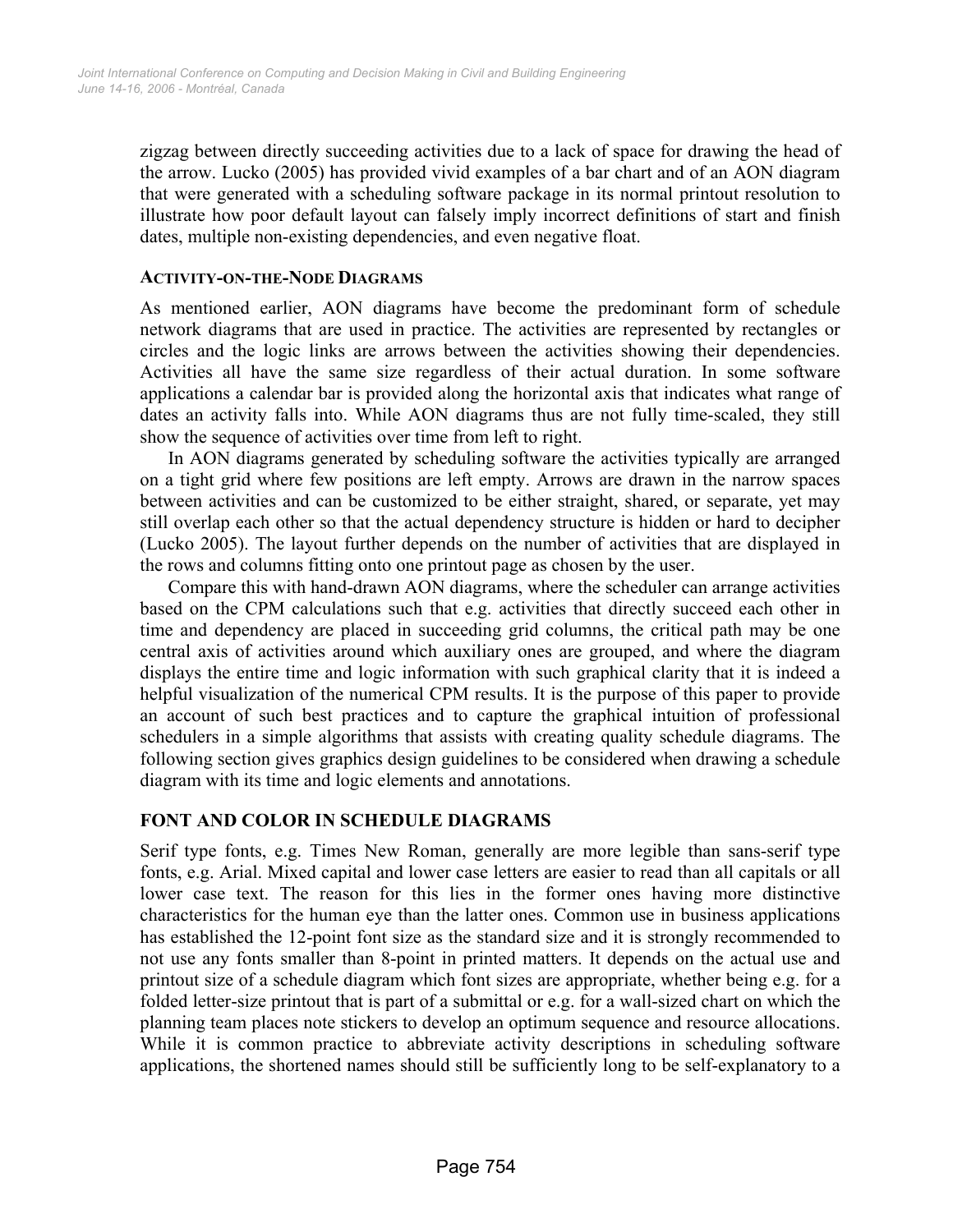zigzag between directly succeeding activities due to a lack of space for drawing the head of the arrow. Lucko (2005) has provided vivid examples of a bar chart and of an AON diagram that were generated with a scheduling software package in its normal printout resolution to illustrate how poor default layout can falsely imply incorrect definitions of start and finish dates, multiple non-existing dependencies, and even negative float.

#### **ACTIVITY-ON-THE-NODE DIAGRAMS**

As mentioned earlier, AON diagrams have become the predominant form of schedule network diagrams that are used in practice. The activities are represented by rectangles or circles and the logic links are arrows between the activities showing their dependencies. Activities all have the same size regardless of their actual duration. In some software applications a calendar bar is provided along the horizontal axis that indicates what range of dates an activity falls into. While AON diagrams thus are not fully time-scaled, they still show the sequence of activities over time from left to right.

In AON diagrams generated by scheduling software the activities typically are arranged on a tight grid where few positions are left empty. Arrows are drawn in the narrow spaces between activities and can be customized to be either straight, shared, or separate, yet may still overlap each other so that the actual dependency structure is hidden or hard to decipher (Lucko 2005). The layout further depends on the number of activities that are displayed in the rows and columns fitting onto one printout page as chosen by the user.

Compare this with hand-drawn AON diagrams, where the scheduler can arrange activities based on the CPM calculations such that e.g. activities that directly succeed each other in time and dependency are placed in succeeding grid columns, the critical path may be one central axis of activities around which auxiliary ones are grouped, and where the diagram displays the entire time and logic information with such graphical clarity that it is indeed a helpful visualization of the numerical CPM results. It is the purpose of this paper to provide an account of such best practices and to capture the graphical intuition of professional schedulers in a simple algorithms that assists with creating quality schedule diagrams. The following section gives graphics design guidelines to be considered when drawing a schedule diagram with its time and logic elements and annotations.

## **FONT AND COLOR IN SCHEDULE DIAGRAMS**

Serif type fonts, e.g. Times New Roman, generally are more legible than sans-serif type fonts, e.g. Arial. Mixed capital and lower case letters are easier to read than all capitals or all lower case text. The reason for this lies in the former ones having more distinctive characteristics for the human eye than the latter ones. Common use in business applications has established the 12-point font size as the standard size and it is strongly recommended to not use any fonts smaller than 8-point in printed matters. It depends on the actual use and printout size of a schedule diagram which font sizes are appropriate, whether being e.g. for a folded letter-size printout that is part of a submittal or e.g. for a wall-sized chart on which the planning team places note stickers to develop an optimum sequence and resource allocations. While it is common practice to abbreviate activity descriptions in scheduling software applications, the shortened names should still be sufficiently long to be self-explanatory to a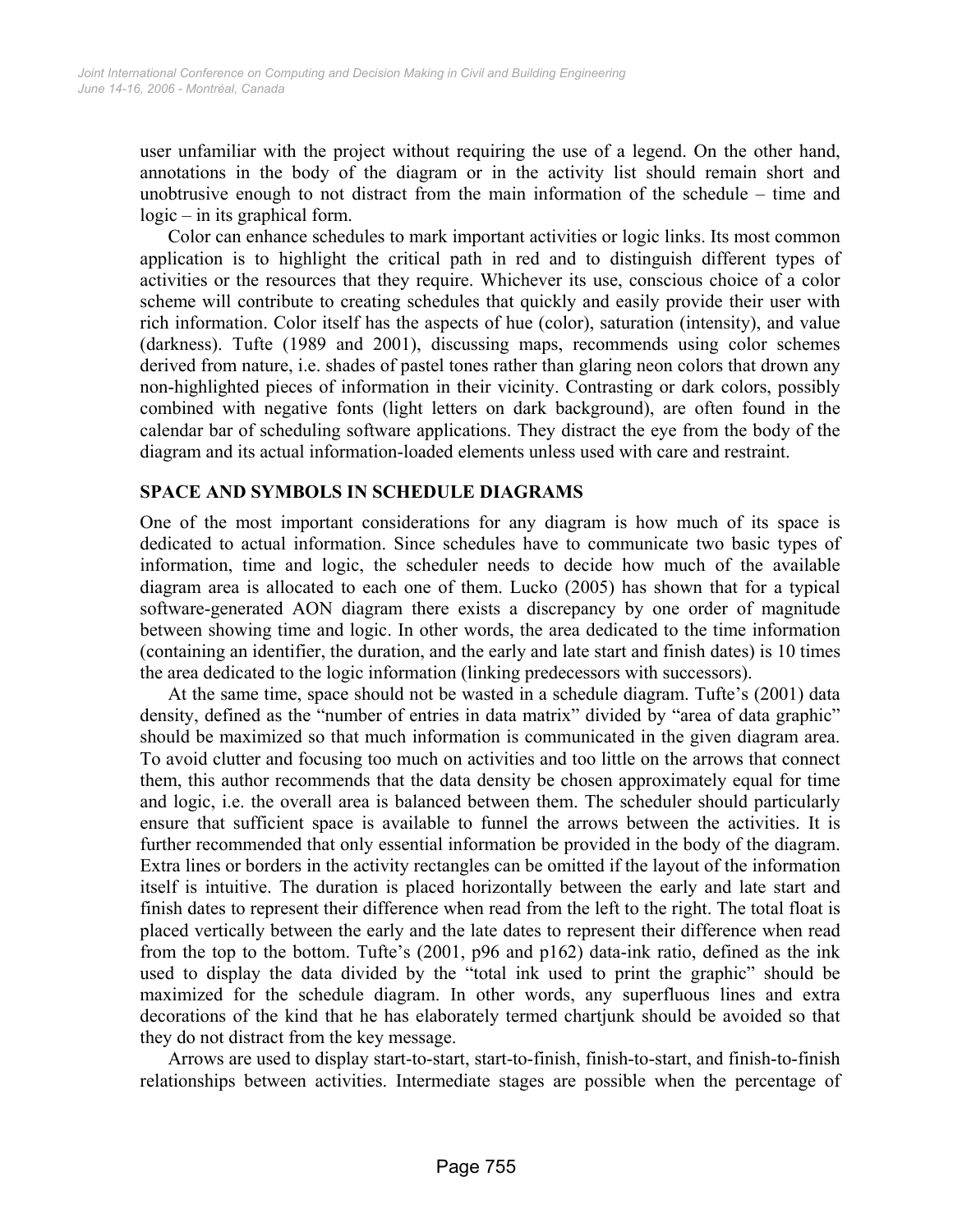user unfamiliar with the project without requiring the use of a legend. On the other hand, annotations in the body of the diagram or in the activity list should remain short and unobtrusive enough to not distract from the main information of the schedule – time and logic – in its graphical form.

Color can enhance schedules to mark important activities or logic links. Its most common application is to highlight the critical path in red and to distinguish different types of activities or the resources that they require. Whichever its use, conscious choice of a color scheme will contribute to creating schedules that quickly and easily provide their user with rich information. Color itself has the aspects of hue (color), saturation (intensity), and value (darkness). Tufte (1989 and 2001), discussing maps, recommends using color schemes derived from nature, i.e. shades of pastel tones rather than glaring neon colors that drown any non-highlighted pieces of information in their vicinity. Contrasting or dark colors, possibly combined with negative fonts (light letters on dark background), are often found in the calendar bar of scheduling software applications. They distract the eye from the body of the diagram and its actual information-loaded elements unless used with care and restraint.

## **SPACE AND SYMBOLS IN SCHEDULE DIAGRAMS**

One of the most important considerations for any diagram is how much of its space is dedicated to actual information. Since schedules have to communicate two basic types of information, time and logic, the scheduler needs to decide how much of the available diagram area is allocated to each one of them. Lucko (2005) has shown that for a typical software-generated AON diagram there exists a discrepancy by one order of magnitude between showing time and logic. In other words, the area dedicated to the time information (containing an identifier, the duration, and the early and late start and finish dates) is 10 times the area dedicated to the logic information (linking predecessors with successors).

At the same time, space should not be wasted in a schedule diagram. Tufte's (2001) data density, defined as the "number of entries in data matrix" divided by "area of data graphic" should be maximized so that much information is communicated in the given diagram area. To avoid clutter and focusing too much on activities and too little on the arrows that connect them, this author recommends that the data density be chosen approximately equal for time and logic, i.e. the overall area is balanced between them. The scheduler should particularly ensure that sufficient space is available to funnel the arrows between the activities. It is further recommended that only essential information be provided in the body of the diagram. Extra lines or borders in the activity rectangles can be omitted if the layout of the information itself is intuitive. The duration is placed horizontally between the early and late start and finish dates to represent their difference when read from the left to the right. The total float is placed vertically between the early and the late dates to represent their difference when read from the top to the bottom. Tufte's (2001, p96 and p162) data-ink ratio, defined as the ink used to display the data divided by the "total ink used to print the graphic" should be maximized for the schedule diagram. In other words, any superfluous lines and extra decorations of the kind that he has elaborately termed chartjunk should be avoided so that they do not distract from the key message.

Arrows are used to display start-to-start, start-to-finish, finish-to-start, and finish-to-finish relationships between activities. Intermediate stages are possible when the percentage of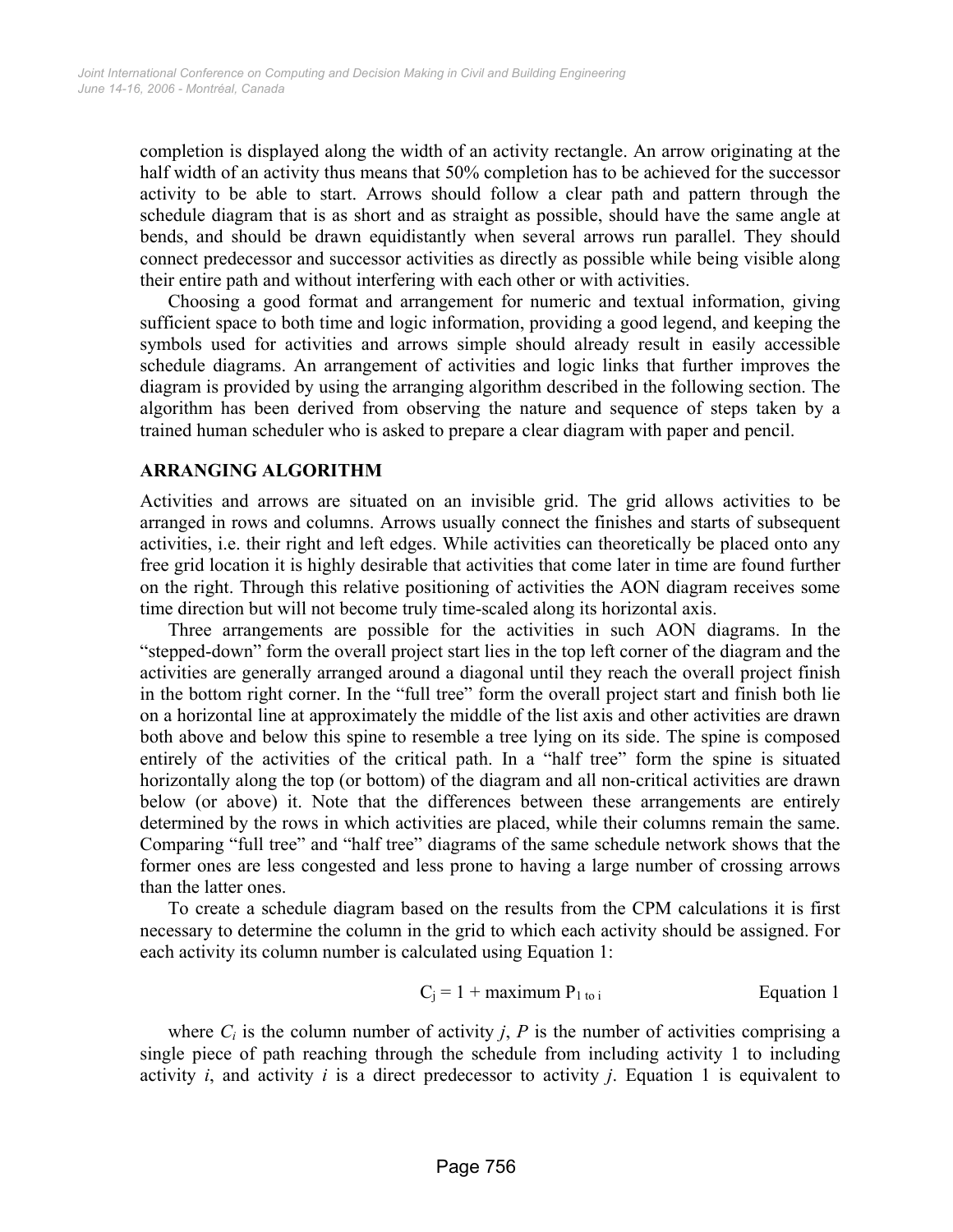completion is displayed along the width of an activity rectangle. An arrow originating at the half width of an activity thus means that 50% completion has to be achieved for the successor activity to be able to start. Arrows should follow a clear path and pattern through the schedule diagram that is as short and as straight as possible, should have the same angle at bends, and should be drawn equidistantly when several arrows run parallel. They should connect predecessor and successor activities as directly as possible while being visible along their entire path and without interfering with each other or with activities.

Choosing a good format and arrangement for numeric and textual information, giving sufficient space to both time and logic information, providing a good legend, and keeping the symbols used for activities and arrows simple should already result in easily accessible schedule diagrams. An arrangement of activities and logic links that further improves the diagram is provided by using the arranging algorithm described in the following section. The algorithm has been derived from observing the nature and sequence of steps taken by a trained human scheduler who is asked to prepare a clear diagram with paper and pencil.

#### **ARRANGING ALGORITHM**

Activities and arrows are situated on an invisible grid. The grid allows activities to be arranged in rows and columns. Arrows usually connect the finishes and starts of subsequent activities, i.e. their right and left edges. While activities can theoretically be placed onto any free grid location it is highly desirable that activities that come later in time are found further on the right. Through this relative positioning of activities the AON diagram receives some time direction but will not become truly time-scaled along its horizontal axis.

Three arrangements are possible for the activities in such AON diagrams. In the "stepped-down" form the overall project start lies in the top left corner of the diagram and the activities are generally arranged around a diagonal until they reach the overall project finish in the bottom right corner. In the "full tree" form the overall project start and finish both lie on a horizontal line at approximately the middle of the list axis and other activities are drawn both above and below this spine to resemble a tree lying on its side. The spine is composed entirely of the activities of the critical path. In a "half tree" form the spine is situated horizontally along the top (or bottom) of the diagram and all non-critical activities are drawn below (or above) it. Note that the differences between these arrangements are entirely determined by the rows in which activities are placed, while their columns remain the same. Comparing "full tree" and "half tree" diagrams of the same schedule network shows that the former ones are less congested and less prone to having a large number of crossing arrows than the latter ones.

To create a schedule diagram based on the results from the CPM calculations it is first necessary to determine the column in the grid to which each activity should be assigned. For each activity its column number is calculated using Equation 1:

$$
C_j = 1 + maximum P_{1 \text{ to } i}
$$
 Equation 1

where  $C_i$  is the column number of activity *j*, *P* is the number of activities comprising a single piece of path reaching through the schedule from including activity 1 to including activity *i*, and activity *i* is a direct predecessor to activity *j*. Equation 1 is equivalent to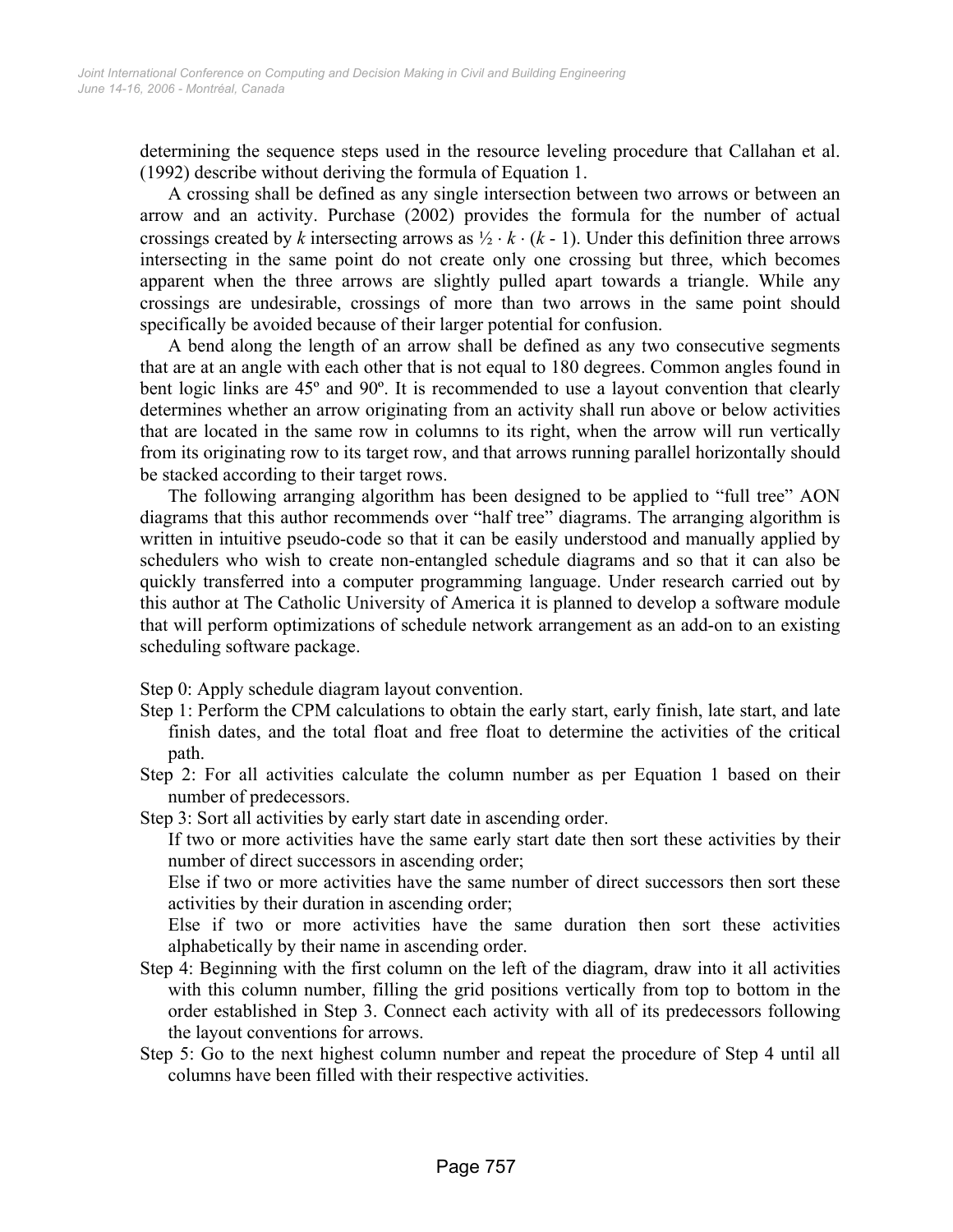determining the sequence steps used in the resource leveling procedure that Callahan et al. (1992) describe without deriving the formula of Equation 1.

A crossing shall be defined as any single intersection between two arrows or between an arrow and an activity. Purchase (2002) provides the formula for the number of actual crossings created by *k* intersecting arrows as  $\frac{1}{2} \cdot k \cdot (k - 1)$ . Under this definition three arrows intersecting in the same point do not create only one crossing but three, which becomes apparent when the three arrows are slightly pulled apart towards a triangle. While any crossings are undesirable, crossings of more than two arrows in the same point should specifically be avoided because of their larger potential for confusion.

A bend along the length of an arrow shall be defined as any two consecutive segments that are at an angle with each other that is not equal to 180 degrees. Common angles found in bent logic links are 45º and 90º. It is recommended to use a layout convention that clearly determines whether an arrow originating from an activity shall run above or below activities that are located in the same row in columns to its right, when the arrow will run vertically from its originating row to its target row, and that arrows running parallel horizontally should be stacked according to their target rows.

The following arranging algorithm has been designed to be applied to "full tree" AON diagrams that this author recommends over "half tree" diagrams. The arranging algorithm is written in intuitive pseudo-code so that it can be easily understood and manually applied by schedulers who wish to create non-entangled schedule diagrams and so that it can also be quickly transferred into a computer programming language. Under research carried out by this author at The Catholic University of America it is planned to develop a software module that will perform optimizations of schedule network arrangement as an add-on to an existing scheduling software package.

Step 0: Apply schedule diagram layout convention.

- Step 1: Perform the CPM calculations to obtain the early start, early finish, late start, and late finish dates, and the total float and free float to determine the activities of the critical path.
- Step 2: For all activities calculate the column number as per Equation 1 based on their number of predecessors.
- Step 3: Sort all activities by early start date in ascending order.

If two or more activities have the same early start date then sort these activities by their number of direct successors in ascending order;

Else if two or more activities have the same number of direct successors then sort these activities by their duration in ascending order;

Else if two or more activities have the same duration then sort these activities alphabetically by their name in ascending order.

- Step 4: Beginning with the first column on the left of the diagram, draw into it all activities with this column number, filling the grid positions vertically from top to bottom in the order established in Step 3. Connect each activity with all of its predecessors following the layout conventions for arrows.
- Step 5: Go to the next highest column number and repeat the procedure of Step 4 until all columns have been filled with their respective activities.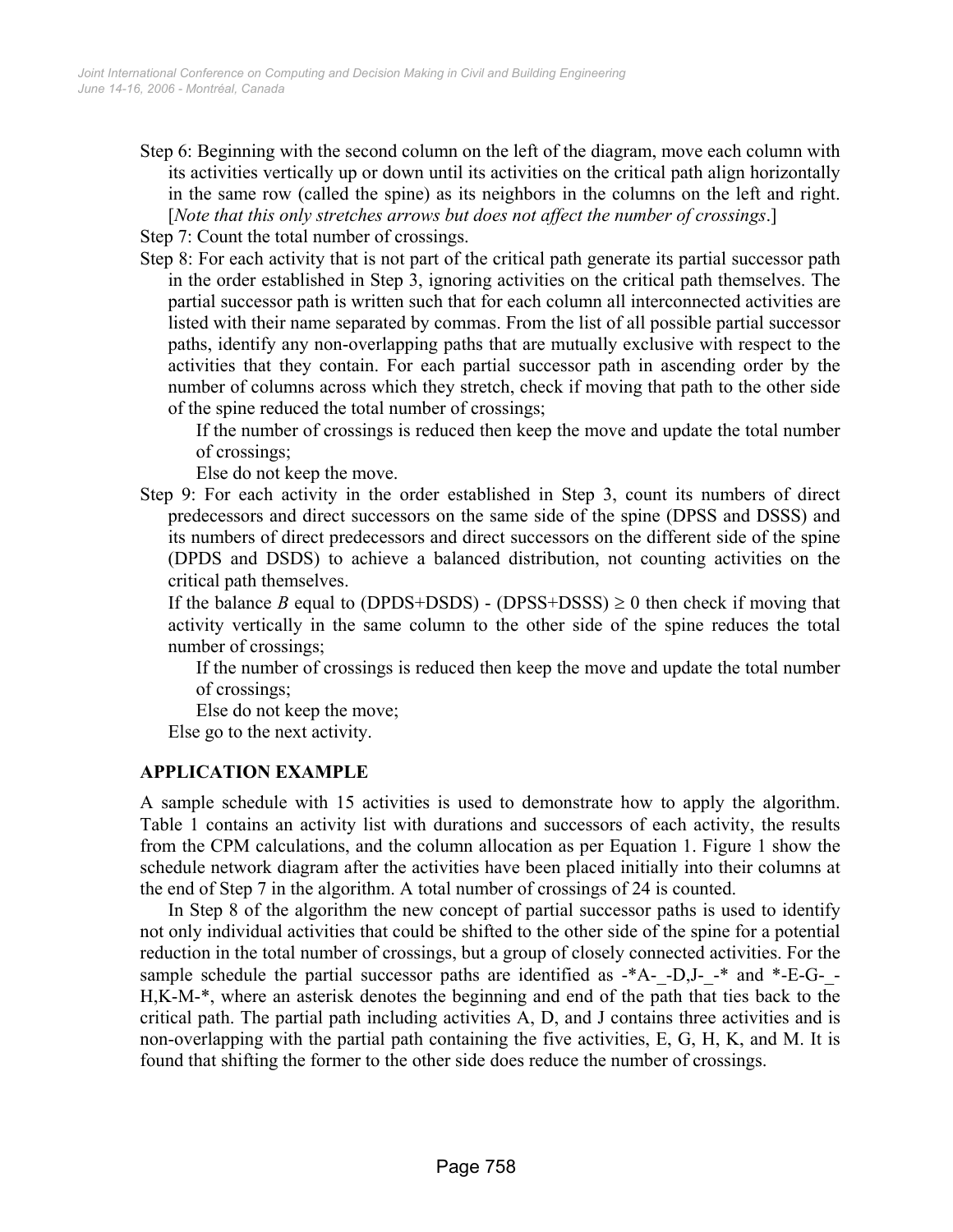Step 6: Beginning with the second column on the left of the diagram, move each column with its activities vertically up or down until its activities on the critical path align horizontally in the same row (called the spine) as its neighbors in the columns on the left and right. [*Note that this only stretches arrows but does not affect the number of crossings*.]

Step 7: Count the total number of crossings.

Step 8: For each activity that is not part of the critical path generate its partial successor path in the order established in Step 3, ignoring activities on the critical path themselves. The partial successor path is written such that for each column all interconnected activities are listed with their name separated by commas. From the list of all possible partial successor paths, identify any non-overlapping paths that are mutually exclusive with respect to the activities that they contain. For each partial successor path in ascending order by the number of columns across which they stretch, check if moving that path to the other side of the spine reduced the total number of crossings;

If the number of crossings is reduced then keep the move and update the total number of crossings;

Else do not keep the move.

Step 9: For each activity in the order established in Step 3, count its numbers of direct predecessors and direct successors on the same side of the spine (DPSS and DSSS) and its numbers of direct predecessors and direct successors on the different side of the spine (DPDS and DSDS) to achieve a balanced distribution, not counting activities on the critical path themselves.

If the balance *B* equal to (DPDS+DSDS) - (DPSS+DSSS)  $\geq$  0 then check if moving that activity vertically in the same column to the other side of the spine reduces the total number of crossings;

If the number of crossings is reduced then keep the move and update the total number of crossings;

Else do not keep the move;

Else go to the next activity.

## **APPLICATION EXAMPLE**

A sample schedule with 15 activities is used to demonstrate how to apply the algorithm. Table 1 contains an activity list with durations and successors of each activity, the results from the CPM calculations, and the column allocation as per Equation 1. Figure 1 show the schedule network diagram after the activities have been placed initially into their columns at the end of Step 7 in the algorithm. A total number of crossings of 24 is counted.

In Step 8 of the algorithm the new concept of partial successor paths is used to identify not only individual activities that could be shifted to the other side of the spine for a potential reduction in the total number of crossings, but a group of closely connected activities. For the sample schedule the partial successor paths are identified as  $-*A-$ -D,J- $-*$  and  $- E-G-$ -H,K-M-\*, where an asterisk denotes the beginning and end of the path that ties back to the critical path. The partial path including activities A, D, and J contains three activities and is non-overlapping with the partial path containing the five activities, E, G, H, K, and M. It is found that shifting the former to the other side does reduce the number of crossings.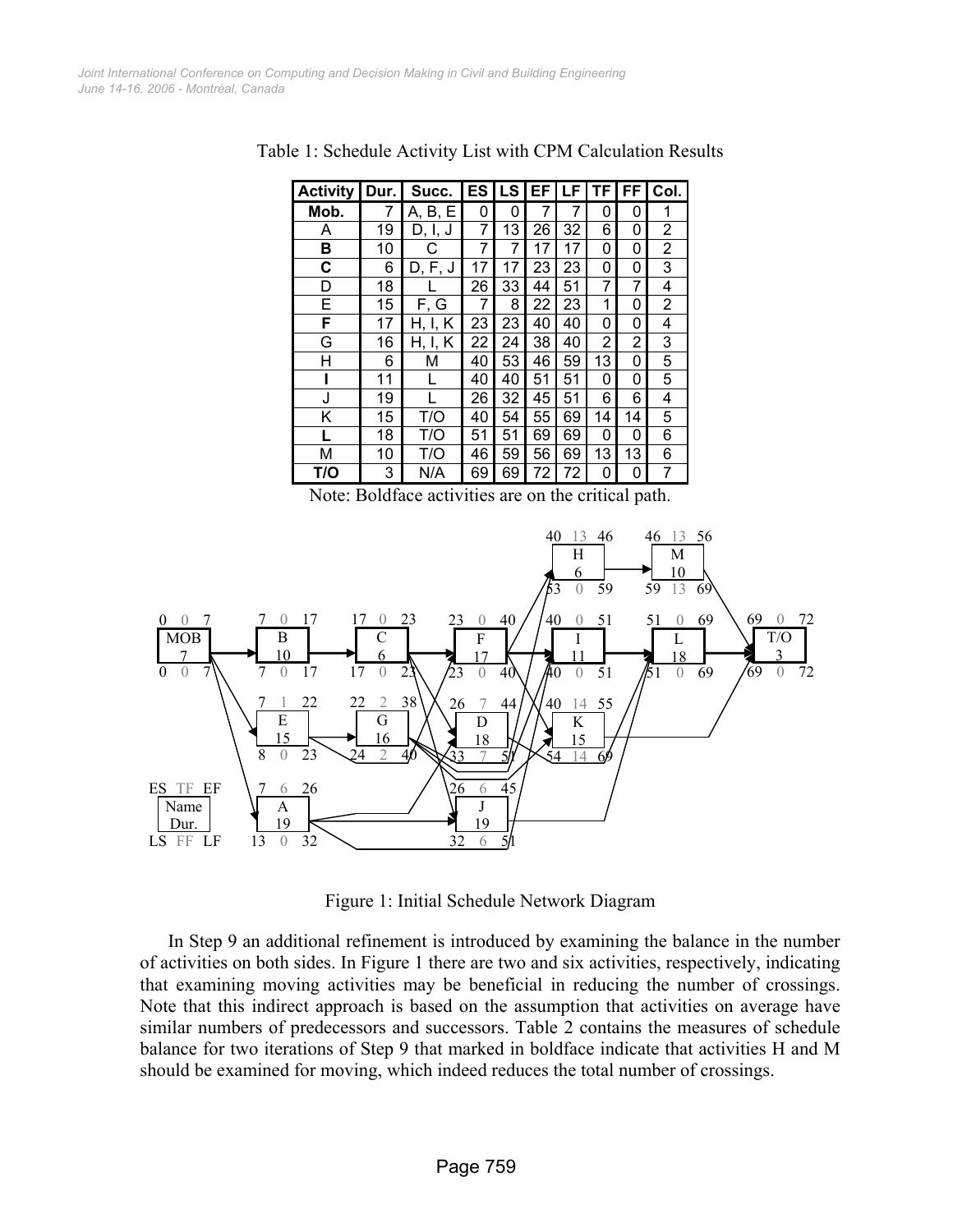| <b>Activity</b> | Dur. | Succ.      | ES | LS | ЕF | LF | ΤF | FF | Col. |
|-----------------|------|------------|----|----|----|----|----|----|------|
| Mob.            | 7    | A, B, E    | 0  | 0  | 7  | 7  | 0  | 0  | 1    |
| Α               | 19   | D, I, J    | 7  | 13 | 26 | 32 | 6  | 0  | 2    |
| в               | 10   | С          | 7  | 7  | 17 | 17 | 0  | 0  | 2    |
| С               | 6    | D, F, J    | 17 | 17 | 23 | 23 | 0  | 0  | 3    |
| D               | 18   |            | 26 | 33 | 44 | 51 | 7  | 7  | 4    |
| E               | 15   | F, G       | 7  | 8  | 22 | 23 | 1  | 0  | 2    |
| F               | 17   | Κ<br>H, I, | 23 | 23 | 40 | 40 | 0  | 0  | 4    |
| G               | 16   | Κ<br>H, I, | 22 | 24 | 38 | 40 | 2  | 2  | 3    |
| Н               | 6    | М          | 40 | 53 | 46 | 59 | 13 | 0  | 5    |
|                 | 11   |            | 40 | 40 | 51 | 51 | 0  | 0  | 5    |
| J               | 19   |            | 26 | 32 | 45 | 51 | 6  | 6  | 4    |
| Κ               | 15   | T/O        | 40 | 54 | 55 | 69 | 14 | 14 | 5    |
| L               | 18   | T/O        | 51 | 51 | 69 | 69 | 0  | 0  | 6    |
| M               | 10   | T/O        | 46 | 59 | 56 | 69 | 13 | 13 | 6    |
| T/O             | 3    | N/A        | 69 | 69 | 72 | 72 | 0  | 0  | 7    |

Table 1: Schedule Activity List with CPM Calculation Results

Note: Boldface activities are on the critical path.



Figure 1: Initial Schedule Network Diagram

In Step 9 an additional refinement is introduced by examining the balance in the number of activities on both sides. In Figure 1 there are two and six activities, respectively, indicating that examining moving activities may be beneficial in reducing the number of crossings. Note that this indirect approach is based on the assumption that activities on average have similar numbers of predecessors and successors. Table 2 contains the measures of schedule balance for two iterations of Step 9 that marked in boldface indicate that activities H and M should be examined for moving, which indeed reduces the total number of crossings.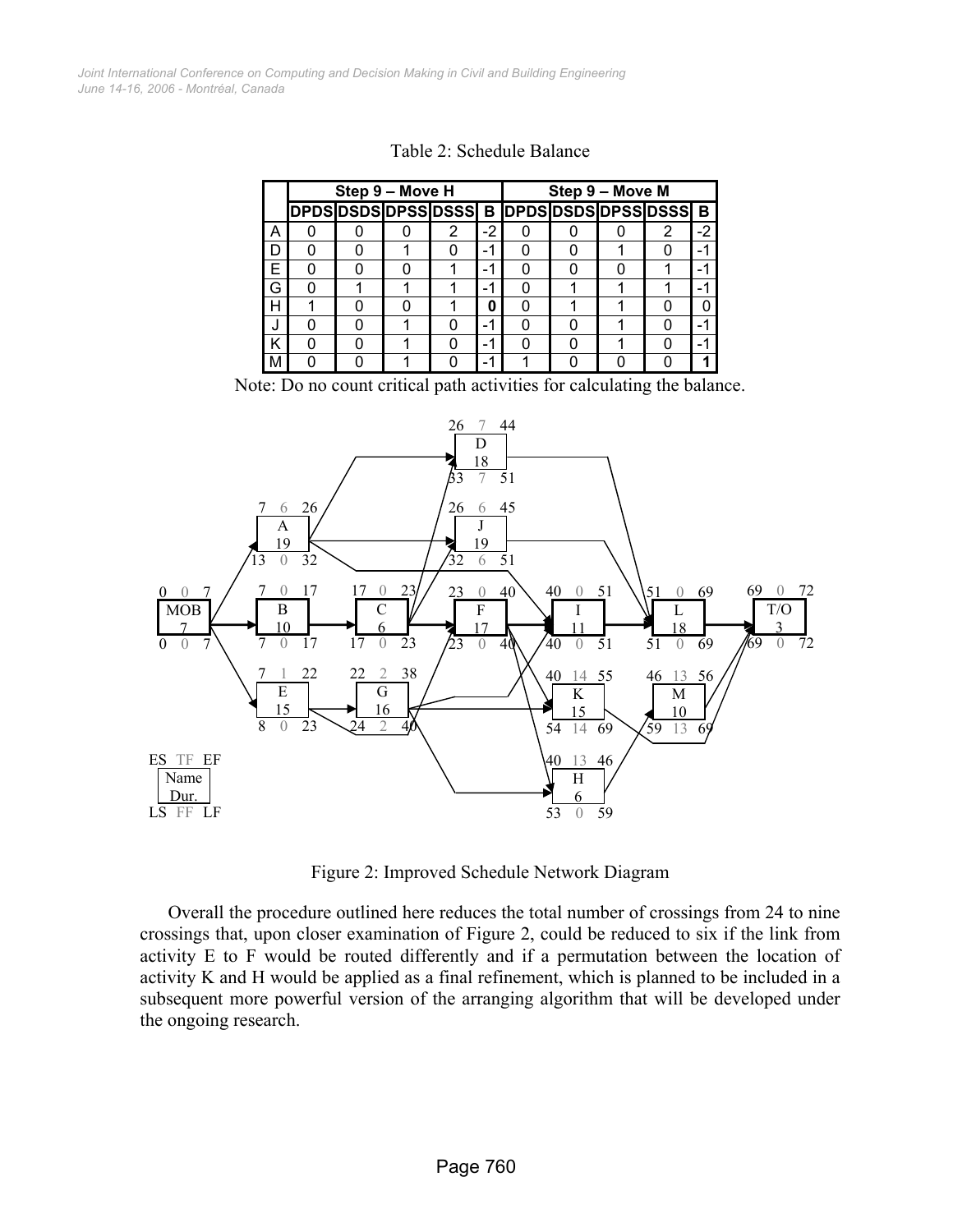*June 14-16, 2006 - Montréal, Canada Joint International Conference on Computing and Decision Making in Civil and Building Engineering*

|   | Step 9 - Move H                             |  |  |   |      | Step 9 - Move M |  |  |   |      |  |
|---|---------------------------------------------|--|--|---|------|-----------------|--|--|---|------|--|
|   | DPDS DSDS DPSS DSSS B DPDS DSDS DPSS DSSS B |  |  |   |      |                 |  |  |   |      |  |
| А |                                             |  |  | 2 | $-2$ |                 |  |  | 2 | $-2$ |  |
| D |                                             |  |  |   |      |                 |  |  |   | - 1  |  |
| F | n                                           |  |  |   | -1   |                 |  |  |   | - 1  |  |
| G | O                                           |  |  |   | -1   |                 |  |  |   |      |  |
| н |                                             |  |  |   | Ω    |                 |  |  |   | U    |  |
|   | n                                           |  |  |   | -1   |                 |  |  |   |      |  |
| Κ |                                             |  |  |   | -1   |                 |  |  |   |      |  |
| м |                                             |  |  |   |      |                 |  |  |   |      |  |

Table 2: Schedule Balance

Note: Do no count critical path activities for calculating the balance.



Figure 2: Improved Schedule Network Diagram

Overall the procedure outlined here reduces the total number of crossings from 24 to nine crossings that, upon closer examination of Figure 2, could be reduced to six if the link from activity E to F would be routed differently and if a permutation between the location of activity K and H would be applied as a final refinement, which is planned to be included in a subsequent more powerful version of the arranging algorithm that will be developed under the ongoing research.